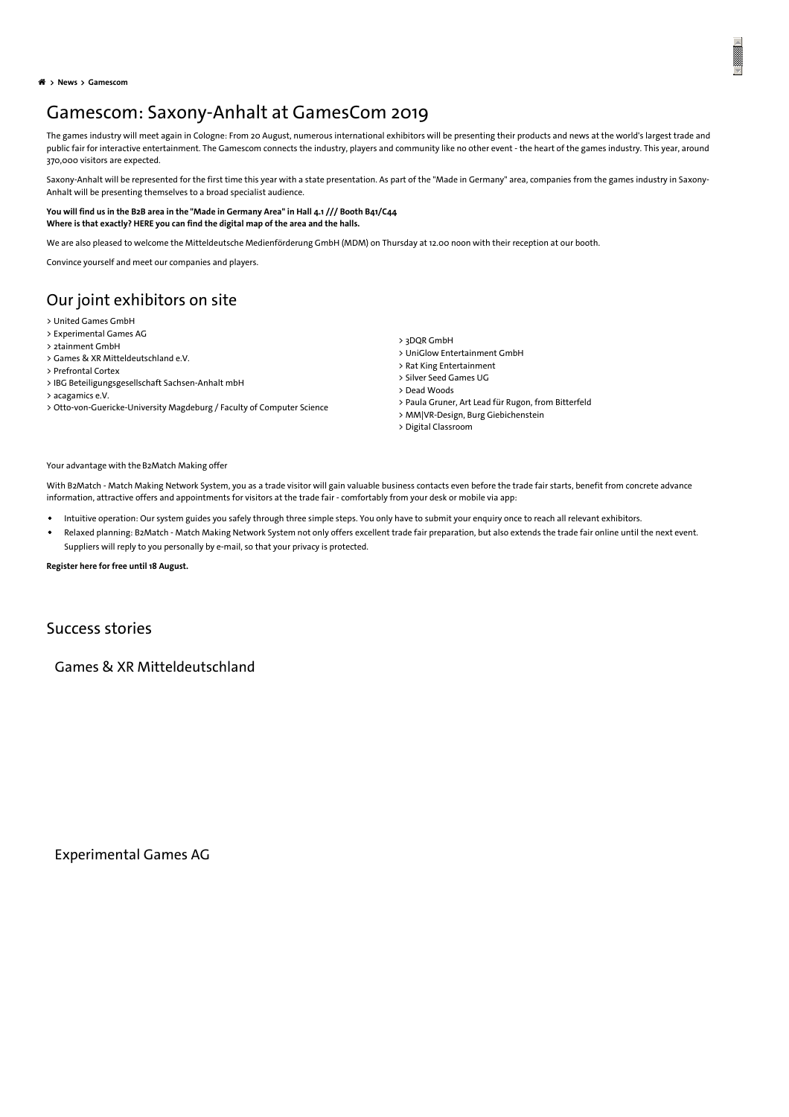**News[Gamescom](#page-1-0)**

## Gamescom: Saxony-Anhalt at GamesCom 2019

The games industry will meet again in Cologne: From 20 August, numerous international exhibitors will be presenting their products and news at the world's largest trade and public fair for interactive entertainment. The Gamescom connects the industry, players and community like no other event - the heart of the games industry. This year, around 370,000 visitors are expected.

Saxony-Anhalt will be represented for the first time this year with a state presentation. As part of the "Made in Germany" area, companies from the games industry in Saxony-Anhalt will be presenting themselves to a broad specialist audience.

## You will find us in the B2B area in the "Made in [Germany](https://www.investieren-in-sachsen-anhalt.de/fileadmin/SOM/SOM_Uebergreifend/Dateien_Bilder_Nachrichten_Termine/2019/07-09/2.png) Area" in Hall 4.1 /// Booth B41/C44 **Where is that exactly? HERE you can find the [digital](https://www.gamescom.global/exhibitors-and-products/hall-plans/hall-plans.php?_ga=2.178091245.97533173.1564746244-1808324462.1561535634) map of the area and the halls.**

We are also pleased to welcome the Mitteldeutsche Medienförderung GmbH (MDM) on Thursday at 12.00 noon with their reception at our booth.

Convince yourself and meet our companies and players.

## Our joint exhibitors on site

- > United [Games](https://www.unitedgames.io/) GmbH
- > [Experimental](https://gamebook.io/) Games AG
- > [2tainment](https://www.2tainment.com/) GmbH
- > Games & XR [Mitteldeutschland](https://www.games-und-xr.de/) e.V.
- > [Prefrontal](https://prefrontalcortex.de/) Cortex > IBG [Beteiligungsgesellschaft](https://www.ibg-vc.de/en) Sachsen-Anhalt mbH
- > [acagamics](https://acagamics.de/) e.V.
- > [Otto-von-Guericke-University](https://www.inf.ovgu.de/en/) Magdeburg / Faculty of Computer Science
- > 3DQR [GmbH](https://3dqr.de/)
- > UniGlow [Entertainment](https://www.uniglow-entertainment.com/?lang=de) GmbH
- > Rat King [Entertainment](http://ratking.de/)
- > Silver Seed [Games](https://www.silverseedgames.com/) UG
- > Dead [Woods](https://www.valentinspiegel.de/portfolio/dead-woods/)
- > Paula Gruner, Art Lead für Rugon, from [Bitterfeld](https://www.rugon-ccg.com/)
- > [MM|VR-Design,](https://www.burg-halle.de/) Burg Giebichenstein > Digital [Classroom](https://digitalclassroomconcept.wordpress.com/)

Your advantage with the [B2Match](https://gamesmatchgamescom2019.b2match.io/) Making offer

With B2Match - Match Making Network System, you as a trade visitor will gain valuable business contacts even before the trade fair starts, benefit from concrete advance information, attractive offers and appointments for visitors at the trade fair - comfortably from your desk or mobile via app:

- Intuitive operation: Our system guides you safely through three simple steps. You only have to submit your enquiry once to reach all relevant exhibitors.
- Relaxed planning: B2Match Match Making Network System not only offers excellent trade fair preparation, but also extends the trade fair online until the next event. Suppliers will reply to you personally by e-mail, so that your privacy is protected.

**[Register](https://gamesmatchgamescom2019.b2match.io/) here for free until 18 August.**

## Success stories

Games & XR Mitteldeutschland

Experimental Games AG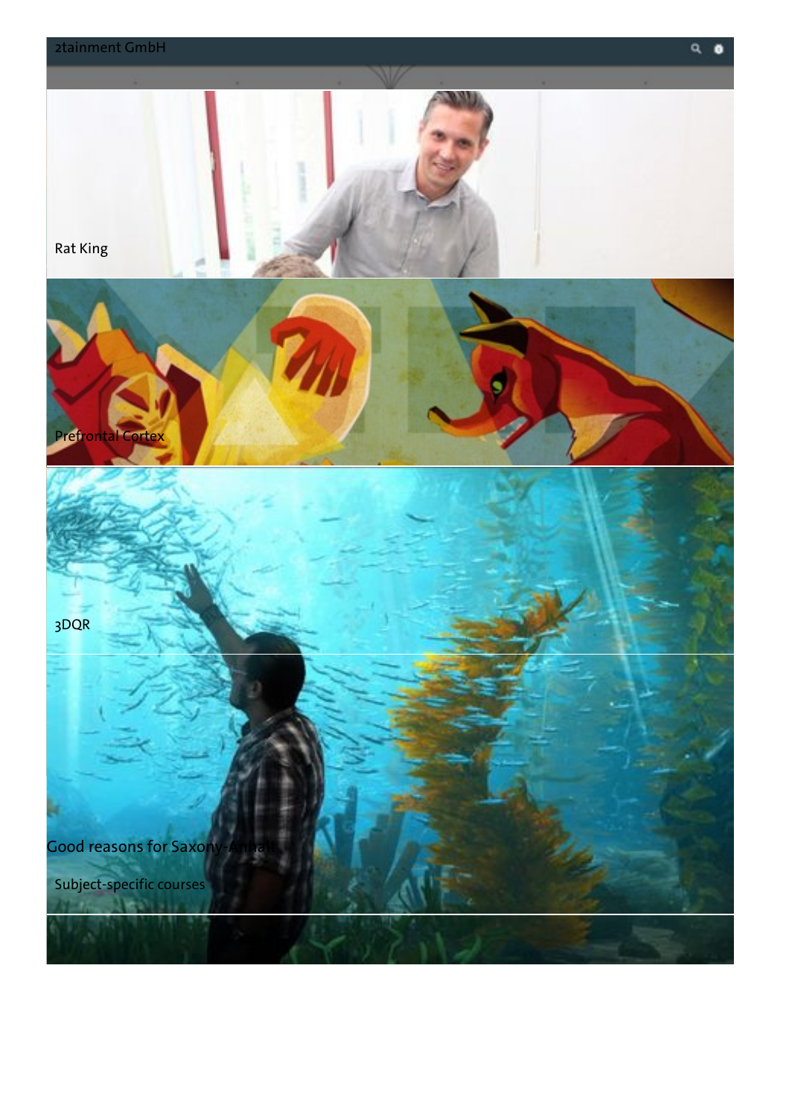<span id="page-1-0"></span>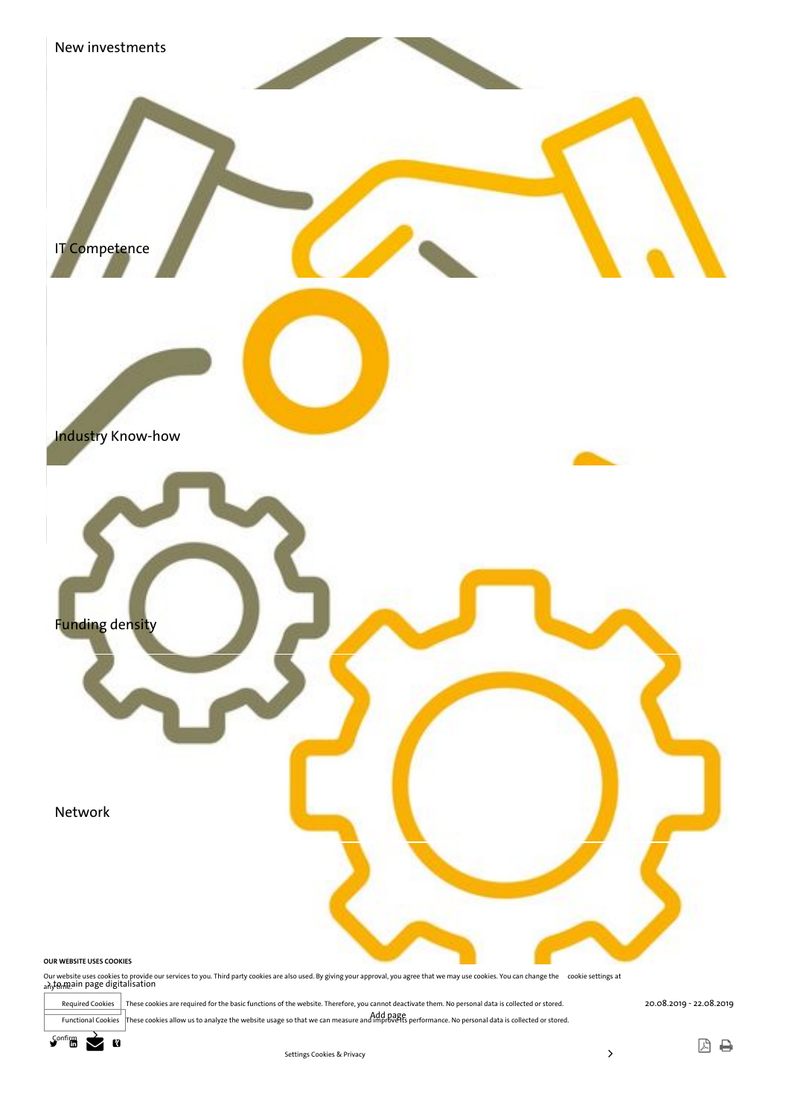

Required Cookies These cookies are required for the basic functions of the website. Therefore, you cannot deactivate them. No personal data is collected or stored.

Functional Cookies These cookies allow us to analyze the website usage so that we can measure and mprove its performance. No personal data is collected or stored.



因日